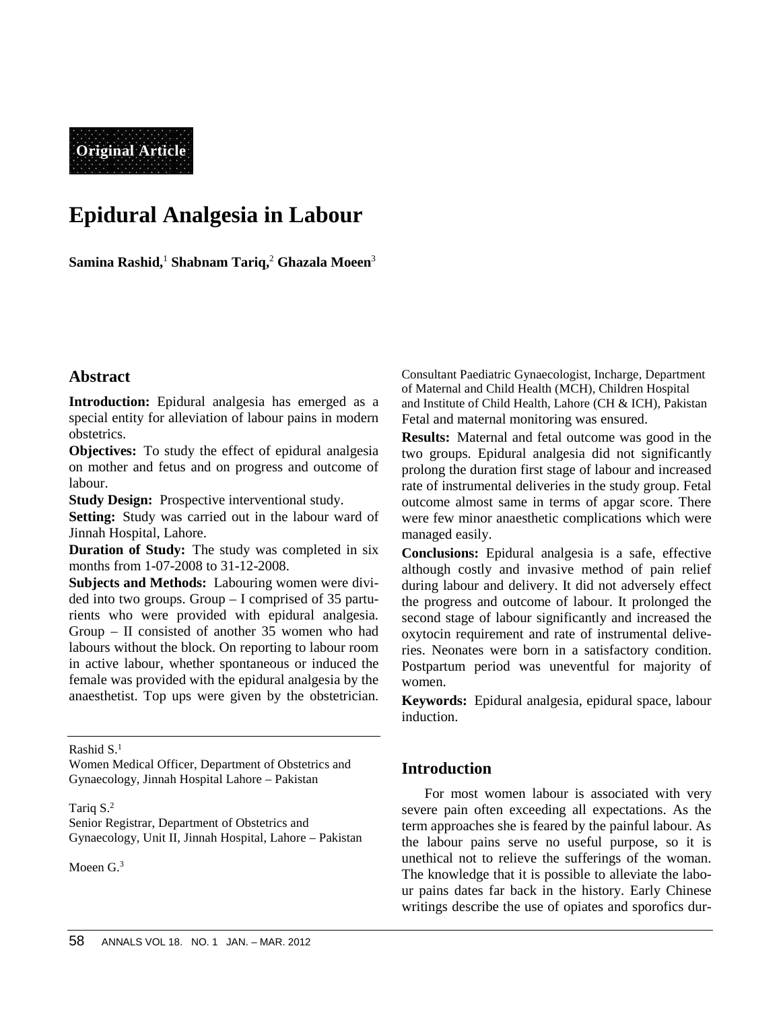**Original Article**

# **Epidural Analgesia in Labour**

**Samina Rashid,**<sup>1</sup> **Shabnam Tariq,**<sup>2</sup> **Ghazala Moeen**<sup>3</sup>

# **Abstract**

**Introduction:** Epidural analgesia has emerged as a special entity for alleviation of labour pains in modern obstetrics.

**Objectives:** To study the effect of epidural analgesia on mother and fetus and on progress and outcome of labour.

**Study Design:** Prospective interventional study.

**Setting:** Study was carried out in the labour ward of Jinnah Hospital, Lahore.

**Duration of Study:** The study was completed in six months from 1-07-2008 to 31-12-2008.

**Subjects and Methods:** Labouring women were divi ded into two groups. Group – I comprised of 35 parturients who were provided with epidural analgesia. Group – II consisted of another 35 women who had labours without the block. On reporting to labour room in active labour, whether spontaneous or induced the female was provided with the epidural analgesia by the anaesthetist. Top ups were given by the obstetrician.

Rashid S.<sup>1</sup>

Women Medical Officer, Department of Obstetrics and Gynaecology, Jinnah Hospital Lahore – Pakistan

#### Tariq S.<sup>2</sup>

Senior Registrar, Department of Obstetrics and Gynaecology, Unit II, Jinnah Hospital, Lahore – Pakistan

Moeen G.<sup>3</sup>

Consultant Paediatric Gynaecologist, Incharge, Department of Maternal and Child Health (MCH), Children Hospital and Institute of Child Health, Lahore (CH & ICH), Pakistan Fetal and maternal monitoring was ensured.

**Results:** Maternal and fetal outcome was good in the two groups. Epidural analgesia did not significantly prolong the duration first stage of labour and increased rate of instrumental deliveries in the study group. Fetal outcome almost same in terms of apgar score. There were few minor anaesthetic complications which were managed easily.

**Conclusions:** Epidural analgesia is a safe, effective although costly and invasive method of pain relief during labour and delivery. It did not adversely effect the progress and outcome of labour. It prolonged the second stage of labour significantly and increased the oxytocin requirement and rate of instrumental deliveries. Neonates were born in a satisfactory condition. Postpartum period was uneventful for majority of women.

**Keywords:** Epidural analgesia, epidural space, labour induction.

# **Introduction**

For most women labour is associated with very severe pain often exceeding all expectations. As the term approaches she is feared by the painful labour. As the labour pains serve no useful purpose, so it is unethical not to relieve the sufferings of the woman. The knowledge that it is possible to alleviate the labo ur pains dates far back in the history. Early Chinese writings describe the use of opiates and sporofics dur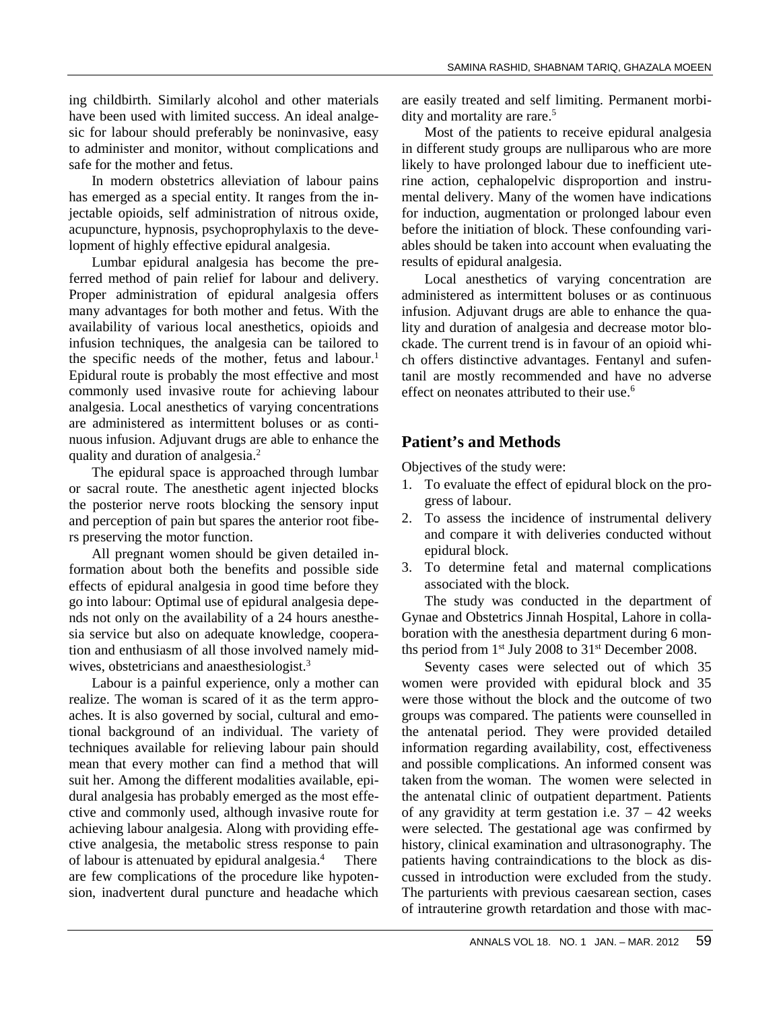ing childbirth. Similarly alcohol and other materials have been used with limited success. An ideal analge sic for labour should preferably be noninvasive, easy to administer and monitor, without complications and safe for the mother and fetus.

In modern obstetrics alleviation of labour pains has emerged as a special entity. It ranges from the injectable opioids, self administration of nitrous oxide, acupuncture, hypnosis, psychoprophylaxis to the development of highly effective epidural analgesia.

Lumbar epidural analgesia has become the preferred method of pain relief for labour and delivery. Proper administration of epidural analgesia offers many advantages for both mother and fetus. With the availability of various local anesthetics, opioids and infusion techniques, the analgesia can be tailored to the specific needs of the mother, fetus and labour.<sup>1</sup> Epidural route is probably the most effective and most commonly used invasive route for achieving labour analgesia. Local anesthetics of varying concentrations are administered as intermittent boluses or as conti nuous infusion. Adjuvant drugs are able to enhance the quality and duration of analgesia.<sup>2</sup>

The epidural space is approached through lumbar or sacral route. The anesthetic agent injected blocks the posterior nerve roots blocking the sensory input and perception of pain but spares the anterior root fibers preserving the motor function.

All pregnant women should be given detailed information about both the benefits and possible side effects of epidural analgesia in good time before they go into labour: Optimal use of epidural analgesia depe nds not only on the availability of a 24 hours anesthe sia service but also on adequate knowledge, cooperation and enthusiasm of all those involved namely mid wives, obstetricians and anaesthesiologist.<sup>3</sup>

Labour is a painful experience, only a mother can realize. The woman is scared of it as the term appro aches. It is also governed by social, cultural and emotional background of an individual. The variety of techniques available for relieving labour pain should mean that every mother can find a method that will suit her. Among the different modalities available, epi dural analgesia has probably emerged as the most effe ctive and commonly used, although invasive route for achieving labour analgesia. Along with providing effe ctive analgesia, the metabolic stress response to pain of labour is attenuated by epidural analgesia.<sup>4</sup> There are few complications of the procedure like hypoten sion, inadvertent dural puncture and headache which are easily treated and self limiting. Permanent morbi dity and mortality are rare.<sup>5</sup>

Most of the patients to receive epidural analgesia in different study groups are nulliparous who are more likely to have prolonged labour due to inefficient uterine action, cephalopelvic disproportion and instru mental delivery. Many of the women have indications for induction, augmentation or prolonged labour even before the initiation of block. These confounding vari ables should be taken into account when evaluating the results of epidural analgesia.

Local anesthetics of varying concentration are administered as intermittent boluses or as continuous infusion. Adjuvant drugs are able to enhance the quality and duration of analgesia and decrease motor blo ckade. The current trend is in favour of an opioid whi ch offers distinctive advantages. Fentanyl and sufentanil are mostly recommended and have no adverse effect on neonates attributed to their use.<sup>6</sup>

# **Patient's and Methods**

Objectives of the study were:

- 1. To evaluate the effect of epidural block on the pro gress of labour.
- 2. To assess the incidence of instrumental delivery and compare it with deliveries conducted without epidural block.
- 3. To determine fetal and maternal complications associated with the block.

The study was conducted in the department of Gynae and Obstetrics Jinnah Hospital, Lahore in colla boration with the anesthesia department during 6 months period from 1st July 2008 to 31st December 2008.

Seventy cases were selected out of which 35 women were provided with epidural block and 35 were those without the block and the outcome of two groups was compared. The patients were counselled in the antenatal period. They were provided detailed information regarding availability, cost, effectiveness and possible complications. An informed consent was taken from the woman. The women were selected in the antenatal clinic of outpatient department. Patients of any gravidity at term gestation i.e.  $37 - 42$  weeks were selected. The gestational age was confirmed by history, clinical examination and ultrasonography. The patients having contraindications to the block as dis cussed in introduction were excluded from the study. The parturients with previous caesarean section, cases of intrauterine growth retardation and those with mac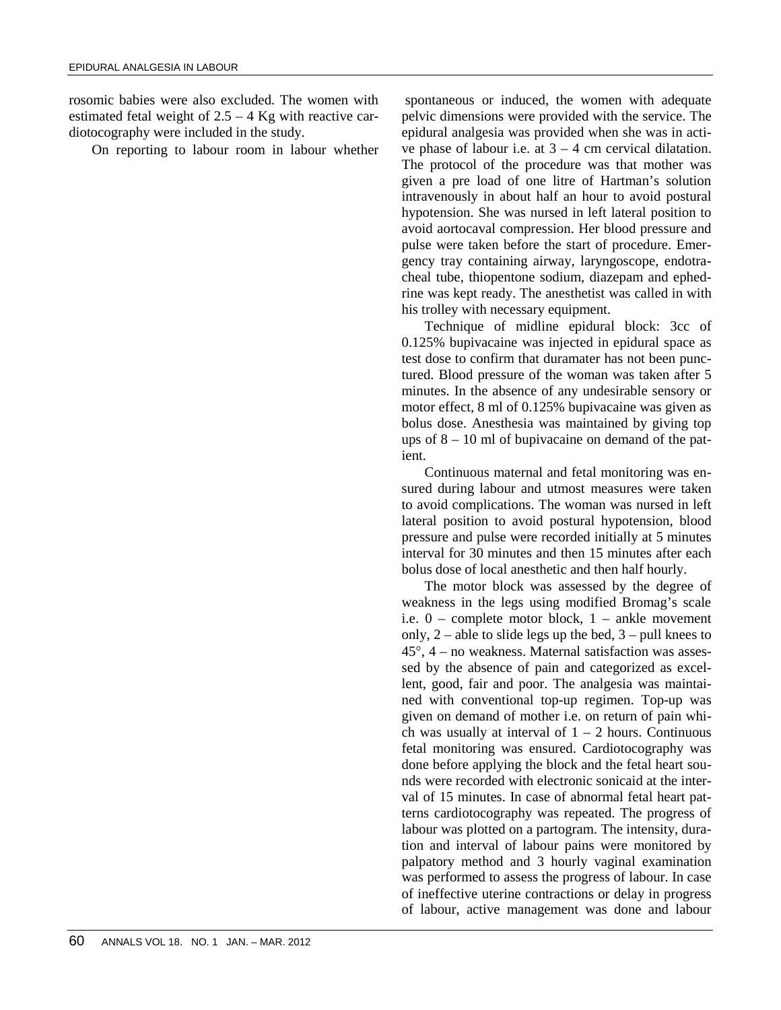rosomic babies were also excluded. The women with estimated fetal weight of  $2.5 - 4$  Kg with reactive cardiotocography were included in the study.

On reporting to labour room in labour whether

spontaneous or induced, the women with adequate pelvic dimensions were provided with the service. The epidural analgesia was provided when she was in acti ve phase of labour i.e. at  $3 - 4$  cm cervical dilatation. The protocol of the procedure was that mother was given a pre load of one litre of Hartman's solution intravenously in about half an hour to avoid postural hypotension. She was nursed in left lateral position to avoid aortocaval compression. Her blood pressure and pulse were taken before the start of procedure. Emer gency tray containing airway, laryngoscope, endotra cheal tube, thiopentone sodium, diazepam and ephedrine was kept ready. The anesthetist was called in with his trolley with necessary equipment.

Technique of midline epidural block: 3cc of 0.125% bupivacaine was injected in epidural space as test dose to confirm that duramater has not been punctured. Blood pressure of the woman was taken after 5 minutes. In the absence of any undesirable sensory or motor effect, 8 ml of 0.125% bupivacaine was given as bolus dose. Anesthesia was maintained by giving top ups of  $8 - 10$  ml of bupivacaine on demand of the patient.

Continuous maternal and fetal monitoring was en sured during labour and utmost measures were taken to avoid complications. The woman was nursed in left lateral position to avoid postural hypotension, blood pressure and pulse were recorded initially at 5 minutes interval for 30 minutes and then 15 minutes after each bolus dose of local anesthetic and then half hourly.

The motor block was assessed by the degree of weakness in the legs using modified Bromag's scale i.e. 0 – complete motor block, 1 – ankle movement only,  $2$  – able to slide legs up the bed,  $3$  – pull knees to  $45^\circ$ ,  $4$  – no weakness. Maternal satisfaction was assessed by the absence of pain and categorized as excellent, good, fair and poor. The analgesia was maintai ned with conventional top-up regimen. Top-up was given on demand of mother i.e. on return of pain whi ch was usually at interval of  $1 - 2$  hours. Continuous fetal monitoring was ensured. Cardiotocography was done before applying the block and the fetal heart sou nds were recorded with electronic sonicaid at the inter val of 15 minutes. In case of abnormal fetal heart patterns cardiotocography was repeated. The progress of labour was plotted on a partogram. The intensity, duration and interval of labour pains were monitored by palpatory method and 3 hourly vaginal examination was performed to assess the progress of labour. In case of ineffective uterine contractions or delay in progress of labour, active management was done and labour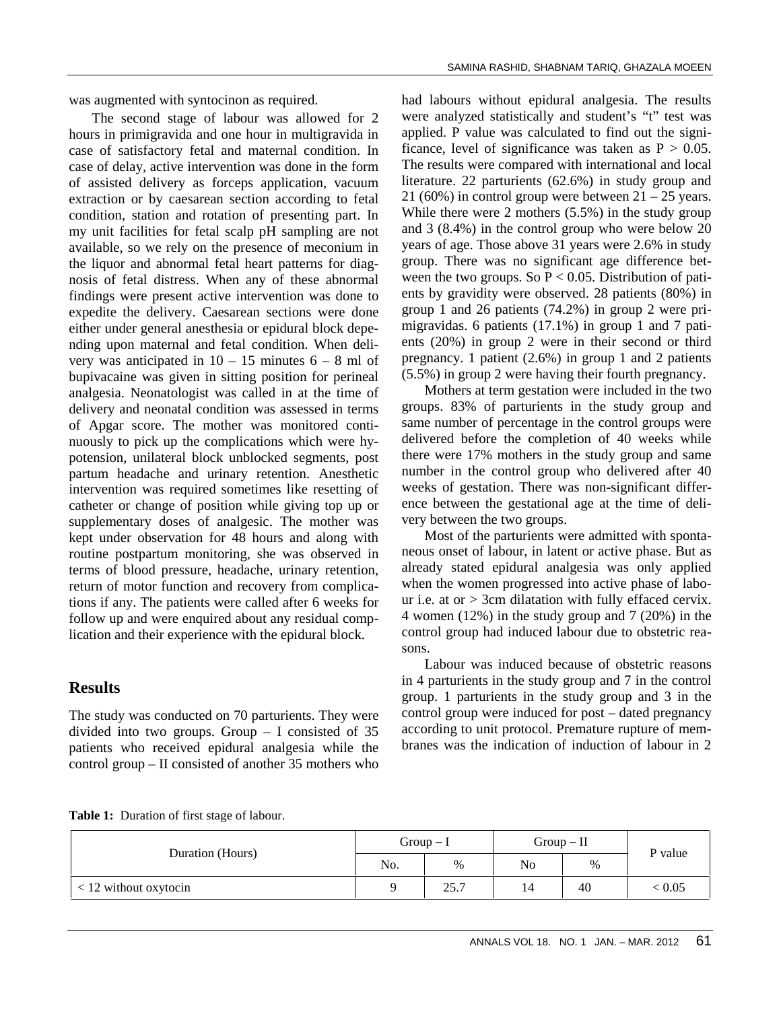was augmented with syntocinon as required.

The second stage of labour was allowed for 2 hours in primigravida and one hour in multigravida in case of satisfactory fetal and maternal condition. In case of delay, active intervention was done in the form of assisted delivery as forceps application, vacuum extraction or by caesarean section according to fetal condition, station and rotation of presenting part. In my unit facilities for fetal scalp pH sampling are not available, so we rely on the presence of meconium in the liquor and abnormal fetal heart patterns for diag nosis of fetal distress. When any of these abnormal findings were present active intervention was done to expedite the delivery. Caesarean sections were done either under general anesthesia or epidural block depe nding upon maternal and fetal condition. When deli very was anticipated in  $10 - 15$  minutes  $6 - 8$  ml of bupivacaine was given in sitting position for perineal analgesia. Neonatologist was called in at the time of delivery and neonatal condition was assessed in terms of Apgar score. The mother was monitored conti nuously to pick up the complications which were hy potension, unilateral block unblocked segments, post partum headache and urinary retention. Anesthetic intervention was required sometimes like resetting of catheter or change of position while giving top up or supplementary doses of analgesic. The mother was kept under observation for 48 hours and along with routine postpartum monitoring, she was observed in terms of blood pressure, headache, urinary retention, return of motor function and recovery from complications if any. The patients were called after 6 weeks for follow up and were enquired about any residual complication and their experience with the epidural block.

# **Results**

The study was conducted on 70 parturients. They were divided into two groups. Group  $-$  I consisted of 35 patients who received epidural analgesia while the control group – II consisted of another 35 mothers who had labours without epidural analgesia. The results were analyzed statistically and student's "t" test was applied. P value was calculated to find out the significance, level of significance was taken as  $P > 0.05$ . The results were compared with international and local literature. 22 parturients (62.6%) in study group and 21 (60%) in control group were between  $21 - 25$  years. While there were 2 mothers (5.5%) in the study group and 3 (8.4%) in the control group who were below 20 years of age. Those above 31 years were 2.6% in study group. There was no significant age difference bet ween the two groups. So  $P < 0.05$ . Distribution of patients by gravidity were observed. 28 patients (80%) in group 1 and 26 patients (74.2%) in group 2 were pri migravidas. 6 patients (17.1%) in group 1 and 7 pati ents (20%) in group 2 were in their second or third pregnancy. 1 patient (2.6%) in group 1 and 2 patients (5.5%) in group 2 were having their fourth pregnancy.

Mothers at term gestation were included in the two groups. 83% of parturients in the study group and same number of percentage in the control groups were delivered before the completion of 40 weeks while there were 17% mothers in the study group and same number in the control group who delivered after 40 weeks of gestation. There was non-significant differ ence between the gestational age at the time of deli very between the two groups.

Most of the parturients were admitted with sponta neous onset of labour, in latent or active phase. But as already stated epidural analgesia was only applied when the women progressed into active phase of labo ur i.e. at or > 3cm dilatation with fully effaced cervix. 4 women (12%) in the study group and 7 (20%) in the control group had induced labour due to obstetric rea sons.

Labour was induced because of obstetric reasons in 4 parturients in the study group and 7 in the control group. 1 parturients in the study group and 3 in the control group were induced for post – dated pregnancy according to unit protocol. Premature rupture of mem branes was the indication of induction of labour in 2

|  | <b>Table 1:</b> Duration of first stage of labour. |
|--|----------------------------------------------------|
|  |                                                    |

|                         | $Group-I$ |      | $Group - II$ |      | P value |
|-------------------------|-----------|------|--------------|------|---------|
| Duration (Hours)        | No.       | %    | No           | $\%$ |         |
| $<$ 12 without oxytocin |           | 25.7 | 14           | 40   | < 0.05  |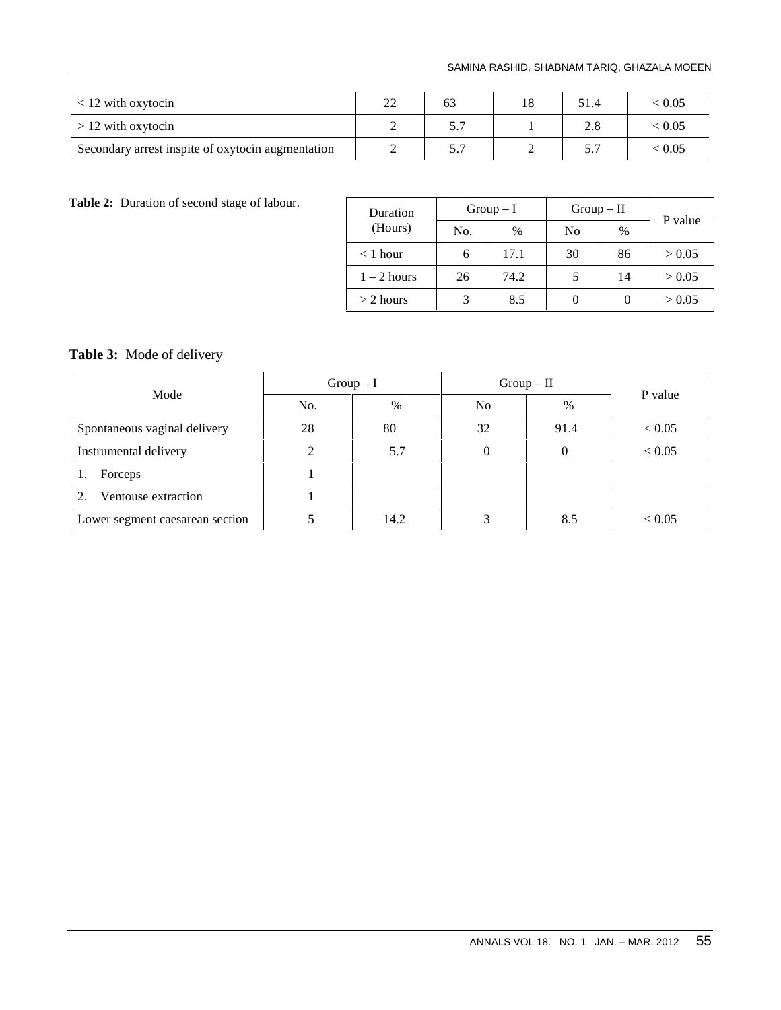#### SAMINA RASHID, SHABNAM TARIQ, GHAZALA MOEEN

|                                                   | ാറ<br>∠∠ | 63 | 18 | 51.4 | < 0.05         |
|---------------------------------------------------|----------|----|----|------|----------------|
| $> 12$ with oxytocin                              |          |    |    |      | < 0.05         |
| Secondary arrest inspite of oxytocin augmentation |          | ،  |    |      | ${}_{<}\,0.05$ |

Table 2: Duration of second stage of labour.

| Duration<br>(Hours) | $Group-I$ |      | $Group-II$     |               | P value |  |
|---------------------|-----------|------|----------------|---------------|---------|--|
|                     | No.       | $\%$ | N <sub>0</sub> | $\frac{0}{0}$ |         |  |
| $<$ 1 hour          | 6         | 17.1 | 30             | 86            | > 0.05  |  |
| $1 - 2$ hours       | 26        | 74.2 |                | 14            | > 0.05  |  |
| $> 2$ hours         |           | 8.5  |                |               | > 0.05  |  |

# **Table 3:** Mode of delivery

|                                 | $Group-I$ |               | $Group - II$   |      |            |
|---------------------------------|-----------|---------------|----------------|------|------------|
| Mode                            | No.       | $\frac{0}{0}$ | N <sub>0</sub> | $\%$ | P value    |
| Spontaneous vaginal delivery    | 28        | 80            | 32             | 91.4 | < 0.05     |
| Instrumental delivery           |           | 5.7           |                |      | ${}< 0.05$ |
| Forceps<br>1.                   |           |               |                |      |            |
| Ventouse extraction<br>2.       |           |               |                |      |            |
| Lower segment caesarean section |           | 14.2          |                | 8.5  | < 0.05     |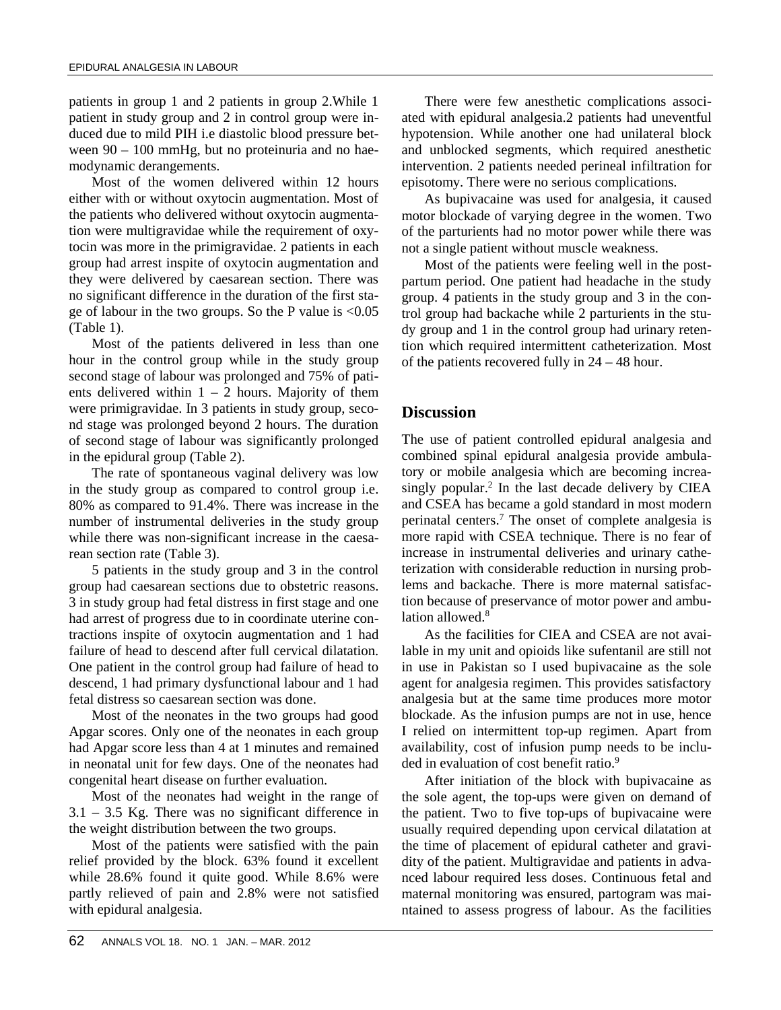patients in group 1 and 2 patients in group 2.While 1 patient in study group and 2 in control group were in duced due to mild PIH i.e diastolic blood pressure bet ween 90 – 100 mmHg, but no proteinuria and no hae modynamic derangements.

Most of the women delivered within 12 hours either with or without oxytocin augmentation. Most of the patients who delivered without oxytocin augmentation were multigravidae while the requirement of oxytocin was more in the primigravidae. 2 patients in each group had arrest inspite of oxytocin augmentation and they were delivered by caesarean section. There was no significant difference in the duration of the first sta ge of labour in the two groups. So the P value is <0.05 (Table 1).

Most of the patients delivered in less than one hour in the control group while in the study group second stage of labour was prolonged and 75% of pati ents delivered within  $1 - 2$  hours. Majority of them were primigravidae. In 3 patients in study group, seco nd stage was prolonged beyond 2 hours. The duration of second stage of labour was significantly prolonged in the epidural group (Table 2).

The rate of spontaneous vaginal delivery was low in the study group as compared to control group i.e. 80% as compared to 91.4%. There was increase in the number of instrumental deliveries in the study group while there was non-significant increase in the caesarean section rate (Table 3).

5 patients in the study group and 3 in the control group had caesarean sections due to obstetric reasons. 3 in study group had fetal distress in first stage and one had arrest of progress due to in coordinate uterine contractions inspite of oxytocin augmentation and 1 had failure of head to descend after full cervical dilatation. One patient in the control group had failure of head to descend, 1 had primary dysfunctional labour and 1 had fetal distress so caesarean section was done.

Most of the neonates in the two groups had good Apgar scores. Only one of the neonates in each group had Apgar score less than 4 at 1 minutes and remained in neonatal unit for few days. One of the neonates had congenital heart disease on further evaluation.

Most of the neonates had weight in the range of 3.1 – 3.5 Kg. There was no significant difference in the weight distribution between the two groups.

Most of the patients were satisfied with the pain relief provided by the block. 63% found it excellent while 28.6% found it quite good. While 8.6% were partly relieved of pain and 2.8% were not satisfied with epidural analgesia.

There were few anesthetic complications associ ated with epidural analgesia.2 patients had uneventful hypotension. While another one had unilateral block and unblocked segments, which required anesthetic intervention. 2 patients needed perineal infiltration for episotomy. There were no serious complications.

As bupivacaine was used for analgesia, it caused motor blockade of varying degree in the women. Two of the parturients had no motor power while there was not a single patient without muscle weakness.

Most of the patients were feeling well in the post partum period. One patient had headache in the study group. 4 patients in the study group and 3 in the control group had backache while 2 parturients in the stu dy group and 1 in the control group had urinary retention which required intermittent catheterization. Most of the patients recovered fully in 24 – 48 hour.

### **Discussion**

The use of patient controlled epidural analgesia and combined spinal epidural analgesia provide ambulatory or mobile analgesia which are becoming increa singly popular.<sup>2</sup> In the last decade delivery by CIEA and CSEA has became a gold standard in most modern perinatal centers.<sup>7</sup> The onset of complete analgesia is more rapid with CSEA technique. There is no fear of increase in instrumental deliveries and urinary catheterization with considerable reduction in nursing problems and backache. There is more maternal satisfaction because of preservance of motor power and ambulation allowed.<sup>8</sup>

As the facilities for CIEA and CSEA are not available in my unit and opioids like sufentanil are still not in use in Pakistan so I used bupivacaine as the sole agent for analgesia regimen. This provides satisfactory analgesia but at the same time produces more motor blockade. As the infusion pumps are not in use, hence I relied on intermittent top-up regimen. Apart from availability, cost of infusion pump needs to be inclu ded in evaluation of cost benefit ratio.<sup>9</sup>

After initiation of the block with bupivacaine as the sole agent, the top-ups were given on demand of the patient. Two to five top-ups of bupivacaine were usually required depending upon cervical dilatation at the time of placement of epidural catheter and gravi dity of the patient. Multigravidae and patients in adva nced labour required less doses. Continuous fetal and maternal monitoring was ensured, partogram was mai ntained to assess progress of labour. As the facilities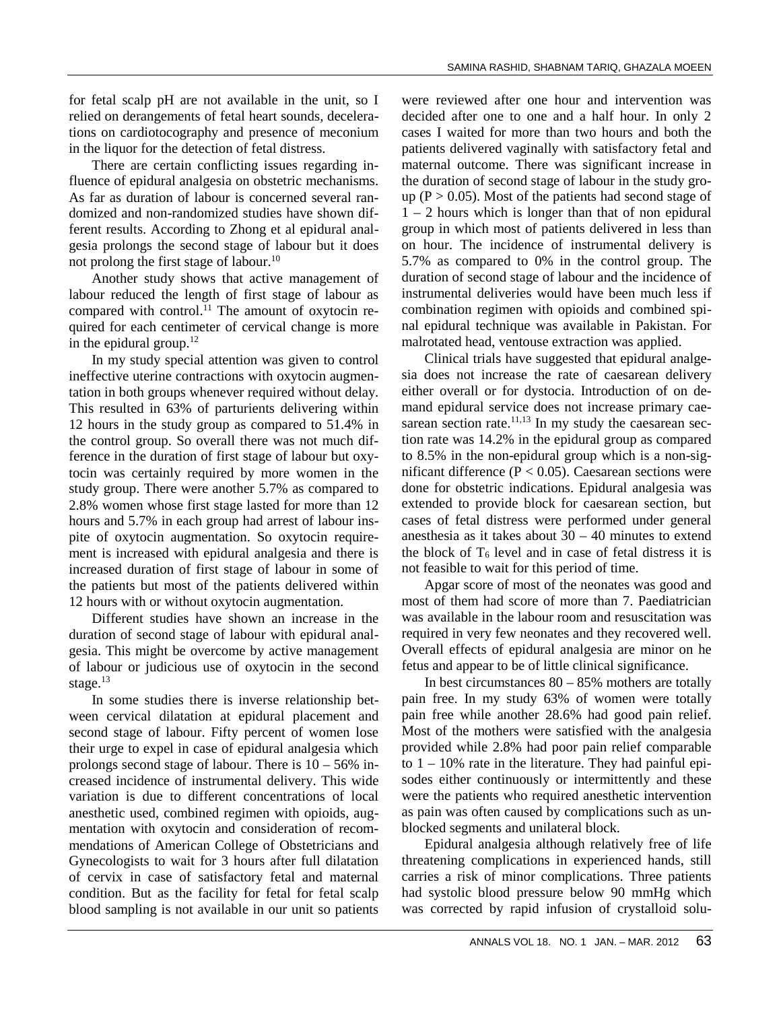for fetal scalp pH are not available in the unit, so I relied on derangements of fetal heart sounds, decelerations on cardiotocography and presence of meconium in the liquor for the detection of fetal distress.

There are certain conflicting issues regarding influence of epidural analgesia on obstetric mechanisms. As far as duration of labour is concerned several ran domized and non-randomized studies have shown different results. According to Zhong et al epidural anal gesia prolongs the second stage of labour but it does not prolong the first stage of labour.<sup>10</sup>

Another study shows that active management of labour reduced the length of first stage of labour as compared with control. $^{11}$  The amount of oxytocin required for each centimeter of cervical change is more in the epidural group. $12$ 

In my study special attention was given to control ineffective uterine contractions with oxytocin augmentation in both groups whenever required without delay. This resulted in 63% of parturients delivering within 12 hours in the study group as compared to 51.4% in the control group. So overall there was not much difference in the duration of first stage of labour but oxytocin was certainly required by more women in the study group. There were another 5.7% as compared to 2.8% women whose first stage lasted for more than 12 hours and 5.7% in each group had arrest of labour ins pite of oxytocin augmentation. So oxytocin require ment is increased with epidural analgesia and there is increased duration of first stage of labour in some of the patients but most of the patients delivered within 12 hours with or without oxytocin augmentation.

Different studies have shown an increase in the duration of second stage of labour with epidural anal gesia. This might be overcome by active management of labour or judicious use of oxytocin in the second stage.<sup>13</sup>

In some studies there is inverse relationship bet ween cervical dilatation at epidural placement and second stage of labour. Fifty percent of women lose their urge to expel in case of epidural analgesia which prolongs second stage of labour. There is 10 – 56% in creased incidence of instrumental delivery. This wide variation is due to different concentrations of local anesthetic used, combined regimen with opioids, aug mentation with oxytocin and consideration of recom mendations of American College of Obstetricians and Gynecologists to wait for 3 hours after full dilatation of cervix in case of satisfactory fetal and maternal condition. But as the facility for fetal for fetal scalp blood sampling is not available in our unit so patients were reviewed after one hour and intervention was decided after one to one and a half hour. In only 2 cases I waited for more than two hours and both the patients delivered vaginally with satisfactory fetal and maternal outcome. There was significant increase in the duration of second stage of labour in the study gro up ( $P > 0.05$ ). Most of the patients had second stage of 1 – 2 hours which is longer than that of non epidural group in which most of patients delivered in less than on hour. The incidence of instrumental delivery is 5.7% as compared to 0% in the control group. The duration of second stage of labour and the incidence of instrumental deliveries would have been much less if combination regimen with opioids and combined spi nal epidural technique was available in Pakistan. For malrotated head, ventouse extraction was applied.

Clinical trials have suggested that epidural analge sia does not increase the rate of caesarean delivery either overall or for dystocia. Introduction of on de mand epidural service does not increase primary cae sarean section rate. $11,13$  In my study the caesarean section rate was 14.2% in the epidural group as compared to 8.5% in the non-epidural group which is a non-sig nificant difference ( $P < 0.05$ ). Caesarean sections were done for obstetric indications. Epidural analgesia was extended to provide block for caesarean section, but cases of fetal distress were performed under general anesthesia as it takes about 30 – 40 minutes to extend the block of  $T_6$  level and in case of fetal distress it is not feasible to wait for this period of time.

Apgar score of most of the neonates was good and most of them had score of more than 7. Paediatrician was available in the labour room and resuscitation was required in very few neonates and they recovered well. Overall effects of epidural analgesia are minor on he fetus and appear to be of little clinical significance.

In best circumstances  $80 - 85\%$  mothers are totally pain free. In my study 63% of women were totally pain free while another 28.6% had good pain relief. Most of the mothers were satisfied with the analgesia provided while 2.8% had poor pain relief comparable to  $1 - 10\%$  rate in the literature. They had painful episodes either continuously or intermittently and these were the patients who required anesthetic intervention as pain was often caused by complications such as un blocked segments and unilateral block.

Epidural analgesia although relatively free of life threatening complications in experienced hands, still carries a risk of minor complications. Three patients had systolic blood pressure below 90 mmHg which was corrected by rapid infusion of crystalloid solu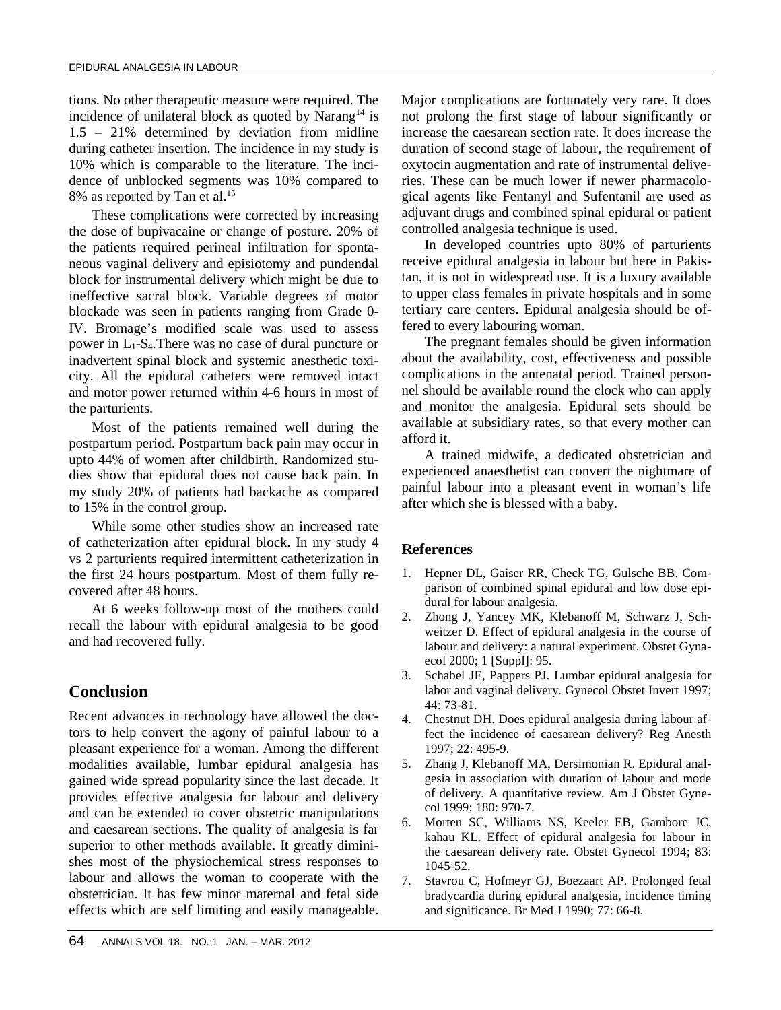tions. No other therapeutic measure were required. The incidence of unilateral block as quoted by Narang<sup>14</sup> is 1.5 – 21% determined by deviation from midline during catheter insertion. The incidence in my study is 10% which is comparable to the literature. The inci dence of unblocked segments was 10% compared to 8% as reported by Tan et al.<sup>15</sup>

These complications were corrected by increasing the dose of bupivacaine or change of posture. 20% of the patients required perineal infiltration for sponta neous vaginal delivery and episiotomy and pundendal block for instrumental delivery which might be due to ineffective sacral block. Variable degrees of motor blockade was seen in patients ranging from Grade 0- IV. Bromage's modified scale was used to assess power in  $L_1$ -S<sub>4</sub>. There was no case of dural puncture or inadvertent spinal block and systemic anesthetic toxi city. All the epidural catheters were removed intact and motor power returned within 4-6 hours in most of the parturients.

Most of the patients remained well during the postpartum period. Postpartum back pain may occur in upto 44% of women after childbirth. Randomized stu dies show that epidural does not cause back pain. In my study 20% of patients had backache as compared to 15% in the control group.

While some other studies show an increased rate of catheterization after epidural block. In my study 4 vs 2 parturients required intermittent catheterization in the first 24 hours postpartum. Most of them fully re covered after 48 hours.

At 6 weeks follow-up most of the mothers could 2. recall the labour with epidural analgesia to be good and had recovered fully.

# **Conclusion**

Recent advances in technology have allowed the doctors to help convert the agony of painful labour to a pleasant experience for a woman. Among the different modalities available, lumbar epidural analgesia has gained wide spread popularity since the last decade. It provides effective analgesia for labour and delivery and can be extended to cover obstetric manipulations  $\overline{6}$ . and caesarean sections. The quality of analgesia is far superior to other methods available. It greatly dimini shes most of the physiochemical stress responses to labour and allows the woman to cooperate with the  $\frac{7}{6}$ . obstetrician. It has few minor maternal and fetal side effects which are self limiting and easily manageable.

Major complications are fortunately very rare. It does not prolong the first stage of labour significantly or increase the caesarean section rate. It does increase the duration of second stage of labour, the requirement of oxytocin augmentation and rate of instrumental deliveries. These can be much lower if newer pharmacolo gical agents like Fentanyl and Sufentanil are used as adjuvant drugs and combined spinal epidural or patient controlled analgesia technique is used.

In developed countries upto 80% of parturients receive epidural analgesia in labour but here in Pakistan, it is not in widespread use. It is a luxury available to upper class females in private hospitals and in some tertiary care centers. Epidural analgesia should be offered to every labouring woman.

The pregnant females should be given information about the availability, cost, effectiveness and possible complications in the antenatal period. Trained person nel should be available round the clock who can apply and monitor the analgesia. Epidural sets should be available at subsidiary rates, so that every mother can afford it.

A trained midwife, a dedicated obstetrician and experienced anaesthetist can convert the nightmare of painful labour into a pleasant event in woman's life after which she is blessed with a baby.

### **References**

- 1. Hepner DL, Gaiser RR, Check TG, Gulsche BB. Com parison of combined spinal epidural and low dose epi dural for labour analgesia.
- Zhong J, Yancey MK, Klebanoff M, Schwarz J, Schweitzer D. Effect of epidural analgesia in the course of labour and delivery: a natural experiment. Obstet Gyna ecol 2000; 1 [Suppl]: 95.
- 3. Schabel JE, Pappers PJ. Lumbar epidural analgesia for labor and vaginal delivery. Gynecol Obstet Invert 1997; 44: 73-81.
- 4. Chestnut DH. Does epidural analgesia during labour affect the incidence of caesarean delivery? Reg Anesth 1997; 22: 495-9.
- 5. Zhang J, Klebanoff MA, Dersimonian R. Epidural anal gesia in association with duration of labour and mode of delivery. A quantitative review. Am J Obstet Gyne col 1999; 180: 970-7.
- 6. Morten SC, Williams NS, Keeler EB, Gambore JC, kahau KL. Effect of epidural analgesia for labour in the caesarean delivery rate. Obstet Gynecol 1994; 83: 1045-52.
- Stavrou C, Hofmeyr GJ, Boezaart AP. Prolonged fetal bradycardia during epidural analgesia, incidence timing and significance. Br Med J 1990; 77: 66-8.